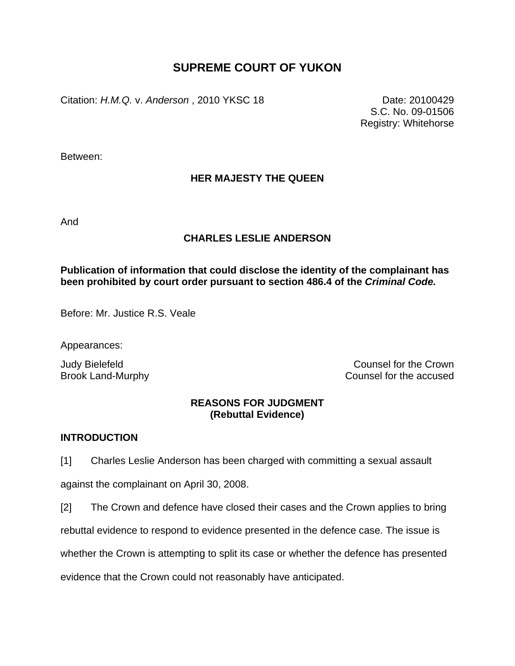# **SUPREME COURT OF YUKON**

Citation: *H.M.Q.* v. *Anderson* , 2010 YKSC 18 Date: 20100429

S.C. No. 09-01506 Registry: Whitehorse

Between:

# **HER MAJESTY THE QUEEN**

And

# **CHARLES LESLIE ANDERSON**

# **Publication of information that could disclose the identity of the complainant has been prohibited by court order pursuant to section 486.4 of the** *Criminal Code.*

Before: Mr. Justice R.S. Veale

Appearances:

Judy Bielefeld Counsel for the Crown Brook Land-Murphy **Counsel for the accused** 

# **REASONS FOR JUDGMENT (Rebuttal Evidence)**

## **INTRODUCTION**

[1] Charles Leslie Anderson has been charged with committing a sexual assault

against the complainant on April 30, 2008.

[2] The Crown and defence have closed their cases and the Crown applies to bring

rebuttal evidence to respond to evidence presented in the defence case. The issue is

whether the Crown is attempting to split its case or whether the defence has presented

evidence that the Crown could not reasonably have anticipated.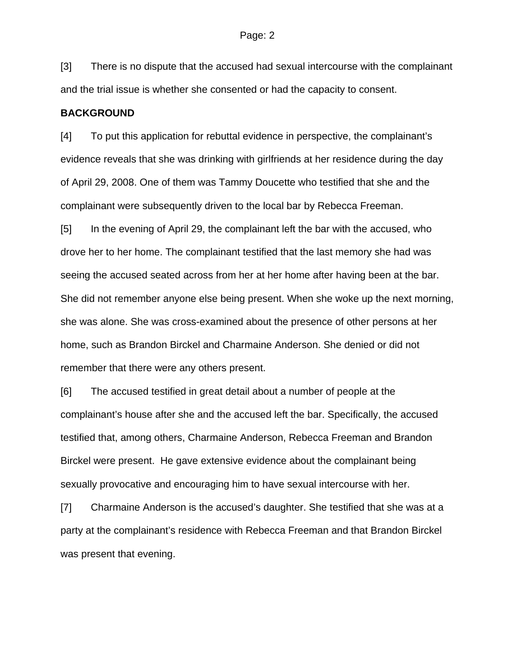[3] There is no dispute that the accused had sexual intercourse with the complainant and the trial issue is whether she consented or had the capacity to consent.

#### **BACKGROUND**

[4] To put this application for rebuttal evidence in perspective, the complainant's evidence reveals that she was drinking with girlfriends at her residence during the day of April 29, 2008. One of them was Tammy Doucette who testified that she and the complainant were subsequently driven to the local bar by Rebecca Freeman.

[5] In the evening of April 29, the complainant left the bar with the accused, who drove her to her home. The complainant testified that the last memory she had was seeing the accused seated across from her at her home after having been at the bar. She did not remember anyone else being present. When she woke up the next morning, she was alone. She was cross-examined about the presence of other persons at her home, such as Brandon Birckel and Charmaine Anderson. She denied or did not remember that there were any others present.

[6] The accused testified in great detail about a number of people at the complainant's house after she and the accused left the bar. Specifically, the accused testified that, among others, Charmaine Anderson, Rebecca Freeman and Brandon Birckel were present. He gave extensive evidence about the complainant being sexually provocative and encouraging him to have sexual intercourse with her.

[7] Charmaine Anderson is the accused's daughter. She testified that she was at a party at the complainant's residence with Rebecca Freeman and that Brandon Birckel was present that evening.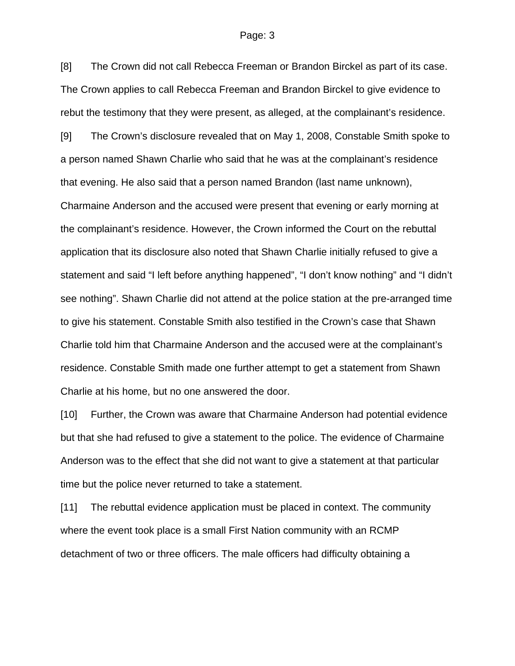### Page: 3

[8] The Crown did not call Rebecca Freeman or Brandon Birckel as part of its case. The Crown applies to call Rebecca Freeman and Brandon Birckel to give evidence to rebut the testimony that they were present, as alleged, at the complainant's residence.

[9] The Crown's disclosure revealed that on May 1, 2008, Constable Smith spoke to a person named Shawn Charlie who said that he was at the complainant's residence that evening. He also said that a person named Brandon (last name unknown), Charmaine Anderson and the accused were present that evening or early morning at the complainant's residence. However, the Crown informed the Court on the rebuttal application that its disclosure also noted that Shawn Charlie initially refused to give a statement and said "I left before anything happened", "I don't know nothing" and "I didn't see nothing". Shawn Charlie did not attend at the police station at the pre-arranged time to give his statement. Constable Smith also testified in the Crown's case that Shawn Charlie told him that Charmaine Anderson and the accused were at the complainant's residence. Constable Smith made one further attempt to get a statement from Shawn Charlie at his home, but no one answered the door.

[10] Further, the Crown was aware that Charmaine Anderson had potential evidence but that she had refused to give a statement to the police. The evidence of Charmaine Anderson was to the effect that she did not want to give a statement at that particular time but the police never returned to take a statement.

[11] The rebuttal evidence application must be placed in context. The community where the event took place is a small First Nation community with an RCMP detachment of two or three officers. The male officers had difficulty obtaining a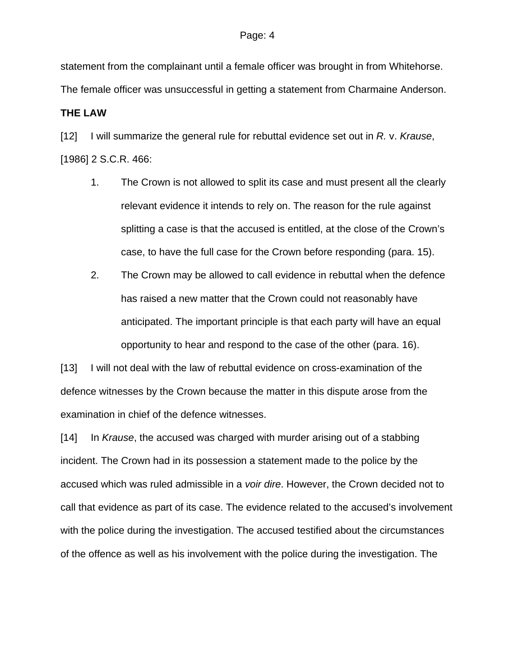statement from the complainant until a female officer was brought in from Whitehorse.

The female officer was unsuccessful in getting a statement from Charmaine Anderson.

## **THE LAW**

[12] I will summarize the general rule for rebuttal evidence set out in *R.* v. *Krause*, [1986] 2 S.C.R. 466:

- 1. The Crown is not allowed to split its case and must present all the clearly relevant evidence it intends to rely on. The reason for the rule against splitting a case is that the accused is entitled, at the close of the Crown's case, to have the full case for the Crown before responding (para. 15).
- 2. The Crown may be allowed to call evidence in rebuttal when the defence has raised a new matter that the Crown could not reasonably have anticipated. The important principle is that each party will have an equal opportunity to hear and respond to the case of the other (para. 16).

[13] I will not deal with the law of rebuttal evidence on cross-examination of the defence witnesses by the Crown because the matter in this dispute arose from the examination in chief of the defence witnesses.

[14] In *Krause*, the accused was charged with murder arising out of a stabbing incident. The Crown had in its possession a statement made to the police by the accused which was ruled admissible in a *voir dire*. However, the Crown decided not to call that evidence as part of its case. The evidence related to the accused's involvement with the police during the investigation. The accused testified about the circumstances of the offence as well as his involvement with the police during the investigation. The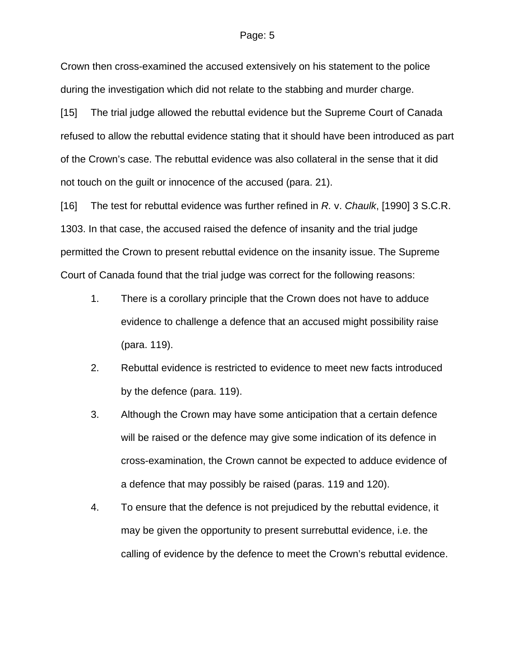#### Page: 5

Crown then cross-examined the accused extensively on his statement to the police during the investigation which did not relate to the stabbing and murder charge.

[15] The trial judge allowed the rebuttal evidence but the Supreme Court of Canada refused to allow the rebuttal evidence stating that it should have been introduced as part of the Crown's case. The rebuttal evidence was also collateral in the sense that it did not touch on the guilt or innocence of the accused (para. 21).

[16] The test for rebuttal evidence was further refined in *R.* v. *Chaulk*, [1990] 3 S.C.R. 1303. In that case, the accused raised the defence of insanity and the trial judge permitted the Crown to present rebuttal evidence on the insanity issue. The Supreme Court of Canada found that the trial judge was correct for the following reasons:

- 1. There is a corollary principle that the Crown does not have to adduce evidence to challenge a defence that an accused might possibility raise (para. 119).
- 2. Rebuttal evidence is restricted to evidence to meet new facts introduced by the defence (para. 119).
- 3. Although the Crown may have some anticipation that a certain defence will be raised or the defence may give some indication of its defence in cross-examination, the Crown cannot be expected to adduce evidence of a defence that may possibly be raised (paras. 119 and 120).
- 4. To ensure that the defence is not prejudiced by the rebuttal evidence, it may be given the opportunity to present surrebuttal evidence, i.e. the calling of evidence by the defence to meet the Crown's rebuttal evidence.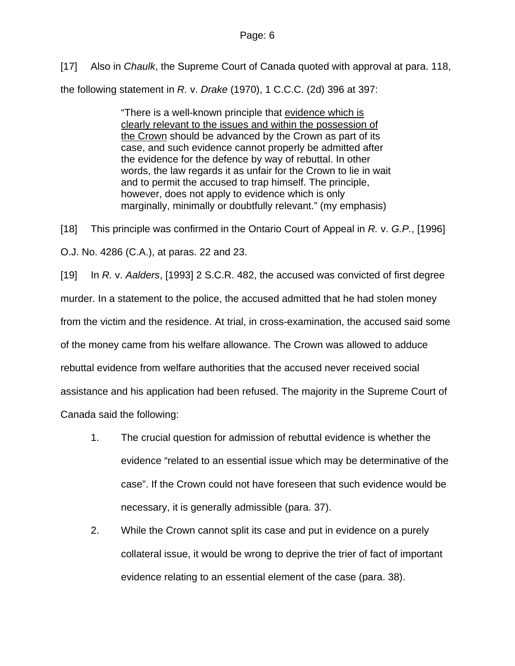[17] Also in *Chaulk*, the Supreme Court of Canada quoted with approval at para. 118,

the following statement in *R.* v. *Drake* (1970), 1 C.C.C. (2d) 396 at 397:

"There is a well-known principle that evidence which is clearly relevant to the issues and within the possession of the Crown should be advanced by the Crown as part of its case, and such evidence cannot properly be admitted after the evidence for the defence by way of rebuttal. In other words, the law regards it as unfair for the Crown to lie in wait and to permit the accused to trap himself. The principle, however, does not apply to evidence which is only marginally, minimally or doubtfully relevant." (my emphasis)

[18] This principle was confirmed in the Ontario Court of Appeal in *R.* v. *G.P.*, [1996] O.J. No. 4286 (C.A.), at paras. 22 and 23.

[19] In *R.* v. *Aalders*, [1993] 2 S.C.R. 482, the accused was convicted of first degree murder. In a statement to the police, the accused admitted that he had stolen money from the victim and the residence. At trial, in cross-examination, the accused said some of the money came from his welfare allowance. The Crown was allowed to adduce rebuttal evidence from welfare authorities that the accused never received social assistance and his application had been refused. The majority in the Supreme Court of Canada said the following:

- 1. The crucial question for admission of rebuttal evidence is whether the evidence "related to an essential issue which may be determinative of the case". If the Crown could not have foreseen that such evidence would be necessary, it is generally admissible (para. 37).
- 2. While the Crown cannot split its case and put in evidence on a purely collateral issue, it would be wrong to deprive the trier of fact of important evidence relating to an essential element of the case (para. 38).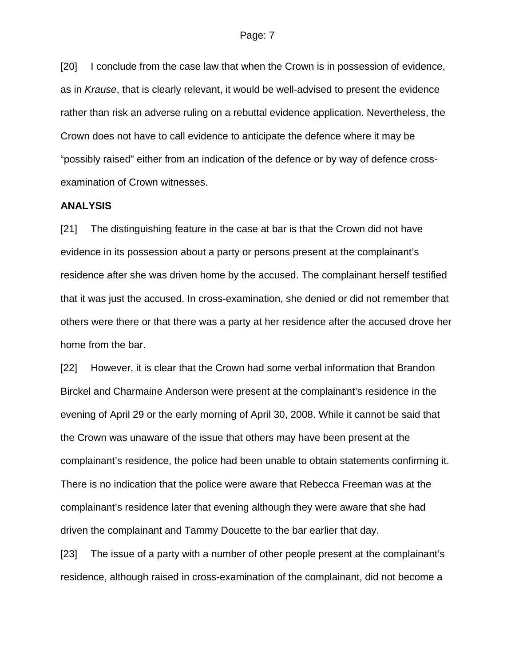[20] I conclude from the case law that when the Crown is in possession of evidence, as in *Krause*, that is clearly relevant, it would be well-advised to present the evidence rather than risk an adverse ruling on a rebuttal evidence application. Nevertheless, the Crown does not have to call evidence to anticipate the defence where it may be "possibly raised" either from an indication of the defence or by way of defence crossexamination of Crown witnesses.

### **ANALYSIS**

[21] The distinguishing feature in the case at bar is that the Crown did not have evidence in its possession about a party or persons present at the complainant's residence after she was driven home by the accused. The complainant herself testified that it was just the accused. In cross-examination, she denied or did not remember that others were there or that there was a party at her residence after the accused drove her home from the bar.

[22] However, it is clear that the Crown had some verbal information that Brandon Birckel and Charmaine Anderson were present at the complainant's residence in the evening of April 29 or the early morning of April 30, 2008. While it cannot be said that the Crown was unaware of the issue that others may have been present at the complainant's residence, the police had been unable to obtain statements confirming it. There is no indication that the police were aware that Rebecca Freeman was at the complainant's residence later that evening although they were aware that she had driven the complainant and Tammy Doucette to the bar earlier that day.

[23] The issue of a party with a number of other people present at the complainant's residence, although raised in cross-examination of the complainant, did not become a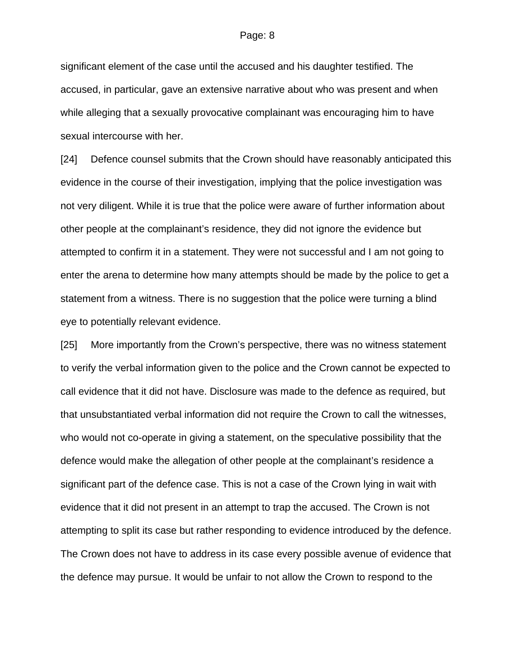#### Page: 8

significant element of the case until the accused and his daughter testified. The accused, in particular, gave an extensive narrative about who was present and when while alleging that a sexually provocative complainant was encouraging him to have sexual intercourse with her.

[24] Defence counsel submits that the Crown should have reasonably anticipated this evidence in the course of their investigation, implying that the police investigation was not very diligent. While it is true that the police were aware of further information about other people at the complainant's residence, they did not ignore the evidence but attempted to confirm it in a statement. They were not successful and I am not going to enter the arena to determine how many attempts should be made by the police to get a statement from a witness. There is no suggestion that the police were turning a blind eye to potentially relevant evidence.

[25] More importantly from the Crown's perspective, there was no witness statement to verify the verbal information given to the police and the Crown cannot be expected to call evidence that it did not have. Disclosure was made to the defence as required, but that unsubstantiated verbal information did not require the Crown to call the witnesses, who would not co-operate in giving a statement, on the speculative possibility that the defence would make the allegation of other people at the complainant's residence a significant part of the defence case. This is not a case of the Crown lying in wait with evidence that it did not present in an attempt to trap the accused. The Crown is not attempting to split its case but rather responding to evidence introduced by the defence. The Crown does not have to address in its case every possible avenue of evidence that the defence may pursue. It would be unfair to not allow the Crown to respond to the